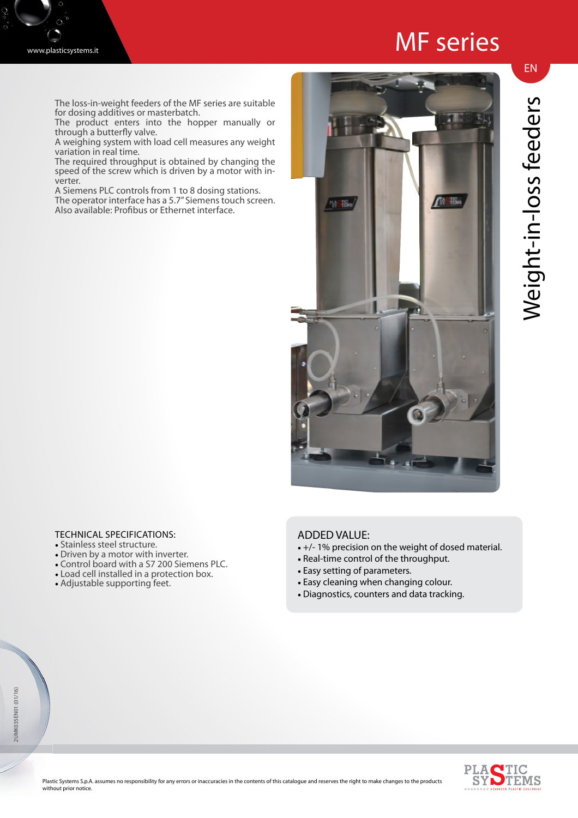## MF series

www.plasticsystems.it

The loss-in-weight feeders of the MF series are suitable for dosing additives or masterbatch.

The product enters into the hopper manually or through a butterfly valve.

A weighing system with load cell measures any weight variation in real time.

The required throughput is obtained by changing the speed of the screw which is driven by a motor with inverter.

A Siemens PLC controls from 1 to 8 dosing stations. The operator interface has a 5.7" Siemens touch screen.

Also available: Profibus or Ethernet interface.



## Weight-in-loss feeders Weight-in-loss feeders

EN

## TECHNICAL SPECIFICATIONS:

- Stainless steel structure.
- Driven by a motor with inverter.
- Control board with a S7 200 Siemens PLC.
- Load cell installed in a protection box.
- Adjustable supporting feet.

## ADDED VALUE:

- +/- 1% precision on the weight of dosed material.
- Real-time control of the throughput.
- Easy setting of parameters.
- Easy cleaning when changing colour.
- Diagnostics, counters and data tracking.